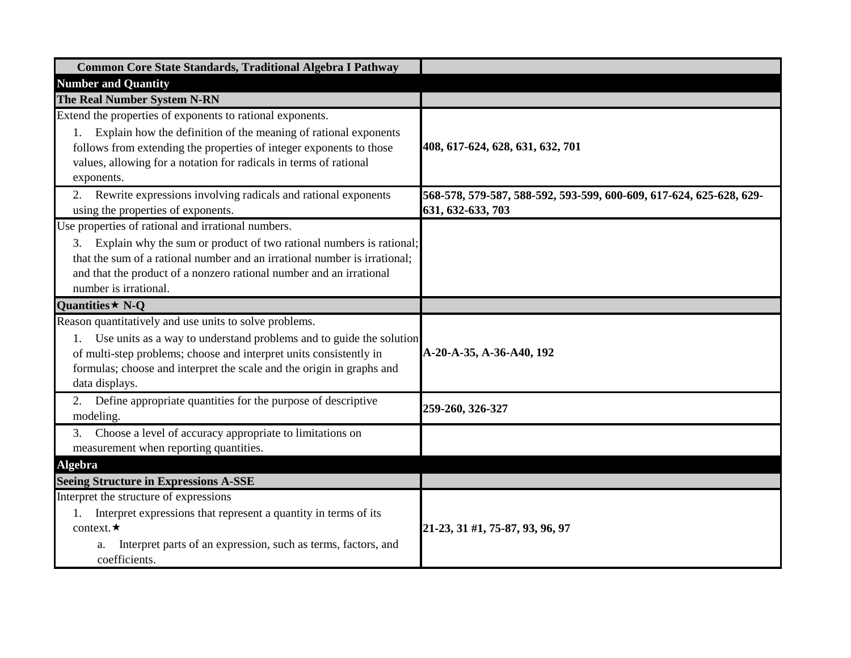| Common Core State Standards, Traditional Algebra I Pathway                                                                                                                                                                                                                                                   |                                                                                          |
|--------------------------------------------------------------------------------------------------------------------------------------------------------------------------------------------------------------------------------------------------------------------------------------------------------------|------------------------------------------------------------------------------------------|
| <b>Number and Quantity</b>                                                                                                                                                                                                                                                                                   |                                                                                          |
| The Real Number System N-RN                                                                                                                                                                                                                                                                                  |                                                                                          |
| Extend the properties of exponents to rational exponents.<br>Explain how the definition of the meaning of rational exponents<br>1.<br>follows from extending the properties of integer exponents to those<br>values, allowing for a notation for radicals in terms of rational<br>exponents.                 | 408, 617-624, 628, 631, 632, 701                                                         |
| 2. Rewrite expressions involving radicals and rational exponents<br>using the properties of exponents.                                                                                                                                                                                                       | 568-578, 579-587, 588-592, 593-599, 600-609, 617-624, 625-628, 629-<br>631, 632-633, 703 |
| Use properties of rational and irrational numbers.<br>Explain why the sum or product of two rational numbers is rational;<br>3.<br>that the sum of a rational number and an irrational number is irrational;<br>and that the product of a nonzero rational number and an irrational<br>number is irrational. |                                                                                          |
| Quantities $\star$ N-Q                                                                                                                                                                                                                                                                                       |                                                                                          |
| Reason quantitatively and use units to solve problems.<br>Use units as a way to understand problems and to guide the solution<br>of multi-step problems; choose and interpret units consistently in<br>formulas; choose and interpret the scale and the origin in graphs and<br>data displays.               | A-20-A-35, A-36-A40, 192                                                                 |
| Define appropriate quantities for the purpose of descriptive<br>modeling.                                                                                                                                                                                                                                    | 259-260, 326-327                                                                         |
| Choose a level of accuracy appropriate to limitations on<br>3.<br>measurement when reporting quantities.                                                                                                                                                                                                     |                                                                                          |
| Algebra                                                                                                                                                                                                                                                                                                      |                                                                                          |
| <b>Seeing Structure in Expressions A-SSE</b>                                                                                                                                                                                                                                                                 |                                                                                          |
| Interpret the structure of expressions<br>Interpret expressions that represent a quantity in terms of its<br>1.<br>context. $\star$<br>Interpret parts of an expression, such as terms, factors, and<br>a.<br>coefficients.                                                                                  | 21-23, 31 #1, 75-87, 93, 96, 97                                                          |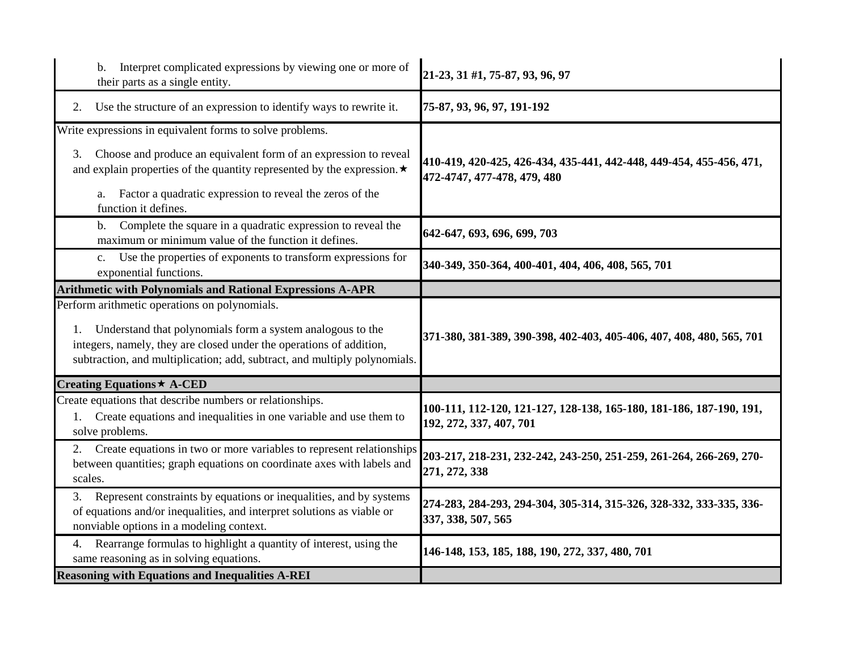| Interpret complicated expressions by viewing one or more of<br>$\mathbf{b}$ .<br>their parts as a single entity.                                                                                                                                                                                              | 21-23, 31 #1, 75-87, 93, 96, 97                                                                    |
|---------------------------------------------------------------------------------------------------------------------------------------------------------------------------------------------------------------------------------------------------------------------------------------------------------------|----------------------------------------------------------------------------------------------------|
| Use the structure of an expression to identify ways to rewrite it.<br>2.                                                                                                                                                                                                                                      | 75-87, 93, 96, 97, 191-192                                                                         |
| Write expressions in equivalent forms to solve problems.<br>Choose and produce an equivalent form of an expression to reveal<br>3.<br>and explain properties of the quantity represented by the expression. $\star$<br>Factor a quadratic expression to reveal the zeros of the<br>a.<br>function it defines. | 410-419, 420-425, 426-434, 435-441, 442-448, 449-454, 455-456, 471,<br>472-4747, 477-478, 479, 480 |
| Complete the square in a quadratic expression to reveal the<br>b.<br>maximum or minimum value of the function it defines.                                                                                                                                                                                     | 642-647, 693, 696, 699, 703                                                                        |
| Use the properties of exponents to transform expressions for<br>$c_{\cdot}$<br>exponential functions.                                                                                                                                                                                                         | 340-349, 350-364, 400-401, 404, 406, 408, 565, 701                                                 |
| <b>Arithmetic with Polynomials and Rational Expressions A-APR</b>                                                                                                                                                                                                                                             |                                                                                                    |
| Perform arithmetic operations on polynomials.<br>Understand that polynomials form a system analogous to the<br>1.<br>integers, namely, they are closed under the operations of addition,<br>subtraction, and multiplication; add, subtract, and multiply polynomials.                                         | 371-380, 381-389, 390-398, 402-403, 405-406, 407, 408, 480, 565, 701                               |
| Creating Equations ★ A-CED                                                                                                                                                                                                                                                                                    |                                                                                                    |
| Create equations that describe numbers or relationships.<br>Create equations and inequalities in one variable and use them to<br>1.<br>solve problems.                                                                                                                                                        | 100-111, 112-120, 121-127, 128-138, 165-180, 181-186, 187-190, 191,<br>192, 272, 337, 407, 701     |
| 2. Create equations in two or more variables to represent relationships<br>between quantities; graph equations on coordinate axes with labels and<br>scales.                                                                                                                                                  | 203-217, 218-231, 232-242, 243-250, 251-259, 261-264, 266-269, 270-<br>271, 272, 338               |
| Represent constraints by equations or inequalities, and by systems<br>3.<br>of equations and/or inequalities, and interpret solutions as viable or<br>nonviable options in a modeling context.                                                                                                                | 274-283, 284-293, 294-304, 305-314, 315-326, 328-332, 333-335, 336-<br>337, 338, 507, 565          |
| Rearrange formulas to highlight a quantity of interest, using the<br>4.<br>same reasoning as in solving equations.                                                                                                                                                                                            | 146-148, 153, 185, 188, 190, 272, 337, 480, 701                                                    |
| <b>Reasoning with Equations and Inequalities A-REI</b>                                                                                                                                                                                                                                                        |                                                                                                    |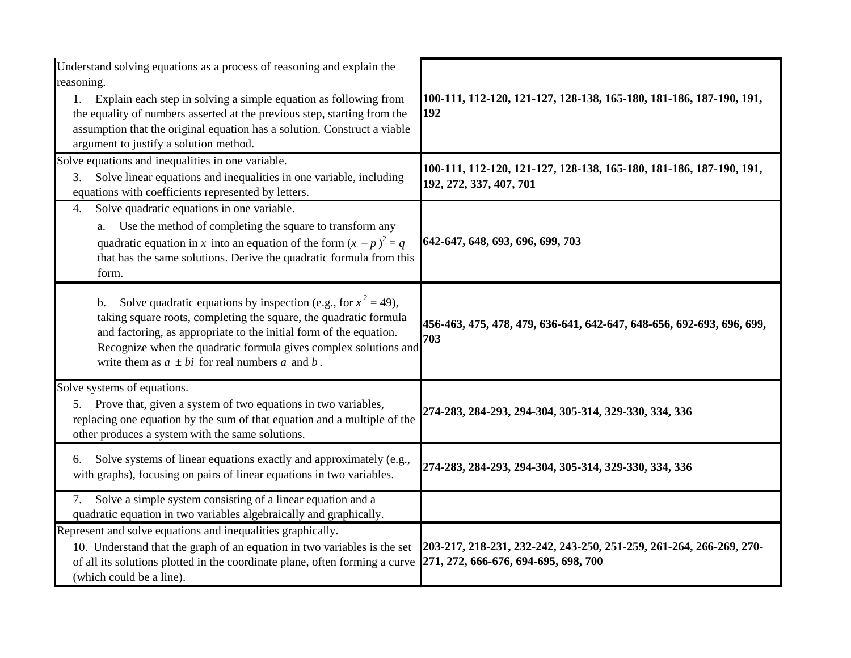| Understand solving equations as a process of reasoning and explain the<br>reasoning.<br>Explain each step in solving a simple equation as following from<br>1.<br>the equality of numbers asserted at the previous step, starting from the<br>assumption that the original equation has a solution. Construct a viable<br>argument to justify a solution method. | 100-111, 112-120, 121-127, 128-138, 165-180, 181-186, 187-190, 191,<br>192                                  |
|------------------------------------------------------------------------------------------------------------------------------------------------------------------------------------------------------------------------------------------------------------------------------------------------------------------------------------------------------------------|-------------------------------------------------------------------------------------------------------------|
| Solve equations and inequalities in one variable.<br>Solve linear equations and inequalities in one variable, including<br>3.<br>equations with coefficients represented by letters.                                                                                                                                                                             | 100-111, 112-120, 121-127, 128-138, 165-180, 181-186, 187-190, 191,<br>192, 272, 337, 407, 701              |
| Solve quadratic equations in one variable.<br>4.<br>Use the method of completing the square to transform any<br>a.<br>quadratic equation in x into an equation of the form $(x - p)^2 = q$<br>that has the same solutions. Derive the quadratic formula from this<br>form.                                                                                       | 642-647, 648, 693, 696, 699, 703                                                                            |
| Solve quadratic equations by inspection (e.g., for $x^2 = 49$ ),<br>b.<br>taking square roots, completing the square, the quadratic formula<br>and factoring, as appropriate to the initial form of the equation.<br>Recognize when the quadratic formula gives complex solutions and<br>write them as $a \pm bi$ for real numbers a and b.                      | 456-463, 475, 478, 479, 636-641, 642-647, 648-656, 692-693, 696, 699,<br>703                                |
| Solve systems of equations.<br>5. Prove that, given a system of two equations in two variables,<br>replacing one equation by the sum of that equation and a multiple of the<br>other produces a system with the same solutions.                                                                                                                                  | 274-283, 284-293, 294-304, 305-314, 329-330, 334, 336                                                       |
| Solve systems of linear equations exactly and approximately (e.g.,<br>6.<br>with graphs), focusing on pairs of linear equations in two variables.                                                                                                                                                                                                                | 274-283, 284-293, 294-304, 305-314, 329-330, 334, 336                                                       |
| Solve a simple system consisting of a linear equation and a<br>7.<br>quadratic equation in two variables algebraically and graphically.                                                                                                                                                                                                                          |                                                                                                             |
| Represent and solve equations and inequalities graphically.<br>10. Understand that the graph of an equation in two variables is the set<br>of all its solutions plotted in the coordinate plane, often forming a curve<br>(which could be a line).                                                                                                               | 203-217, 218-231, 232-242, 243-250, 251-259, 261-264, 266-269, 270-<br>271, 272, 666-676, 694-695, 698, 700 |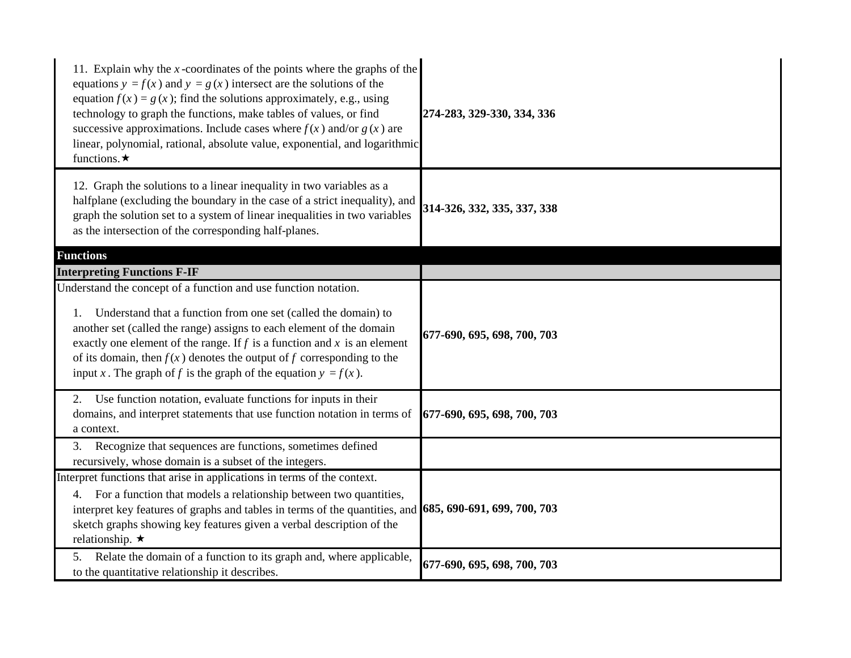| 11. Explain why the $x$ -coordinates of the points where the graphs of the<br>equations $y = f(x)$ and $y = g(x)$ intersect are the solutions of the<br>equation $f(x) = g(x)$ ; find the solutions approximately, e.g., using<br>technology to graph the functions, make tables of values, or find<br>successive approximations. Include cases where $f(x)$ and/or $g(x)$ are<br>linear, polynomial, rational, absolute value, exponential, and logarithmic<br>functions. $\star$ | 274-283, 329-330, 334, 336  |
|------------------------------------------------------------------------------------------------------------------------------------------------------------------------------------------------------------------------------------------------------------------------------------------------------------------------------------------------------------------------------------------------------------------------------------------------------------------------------------|-----------------------------|
| 12. Graph the solutions to a linear inequality in two variables as a<br>halfplane (excluding the boundary in the case of a strict inequality), and<br>graph the solution set to a system of linear inequalities in two variables<br>as the intersection of the corresponding half-planes.                                                                                                                                                                                          | 314-326, 332, 335, 337, 338 |
| <b>Functions</b>                                                                                                                                                                                                                                                                                                                                                                                                                                                                   |                             |
| <b>Interpreting Functions F-IF</b>                                                                                                                                                                                                                                                                                                                                                                                                                                                 |                             |
| Understand the concept of a function and use function notation.<br>Understand that a function from one set (called the domain) to<br>1.<br>another set (called the range) assigns to each element of the domain<br>exactly one element of the range. If $f$ is a function and $x$ is an element<br>of its domain, then $f(x)$ denotes the output of f corresponding to the<br>input x. The graph of f is the graph of the equation $y = f(x)$ .                                    | 677-690, 695, 698, 700, 703 |
| 2. Use function notation, evaluate functions for inputs in their<br>domains, and interpret statements that use function notation in terms of<br>a context.                                                                                                                                                                                                                                                                                                                         | 677-690, 695, 698, 700, 703 |
| Recognize that sequences are functions, sometimes defined<br>3.<br>recursively, whose domain is a subset of the integers.                                                                                                                                                                                                                                                                                                                                                          |                             |
| Interpret functions that arise in applications in terms of the context.<br>For a function that models a relationship between two quantities,<br>4.<br>interpret key features of graphs and tables in terms of the quantities, and 685, 690-691, 699, 700, 703<br>sketch graphs showing key features given a verbal description of the<br>relationship. $\star$                                                                                                                     |                             |
| Relate the domain of a function to its graph and, where applicable,<br>5.<br>to the quantitative relationship it describes.                                                                                                                                                                                                                                                                                                                                                        | 677-690, 695, 698, 700, 703 |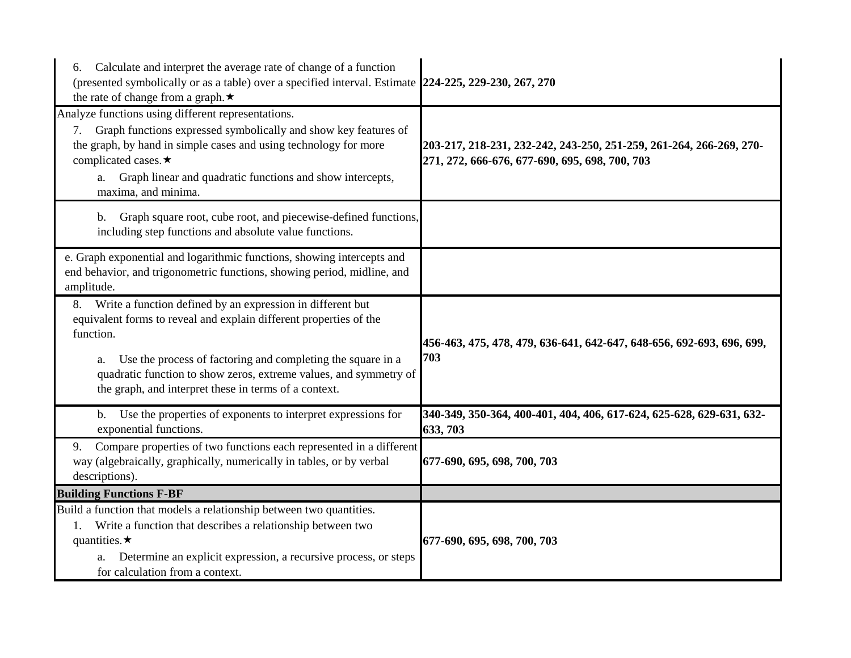| Calculate and interpret the average rate of change of a function<br>6.<br>(presented symbolically or as a table) over a specified interval. Estimate 224-225, 229-230, 267, 270<br>the rate of change from a graph. $\star$                                                                                                                            |                                                                                                                       |
|--------------------------------------------------------------------------------------------------------------------------------------------------------------------------------------------------------------------------------------------------------------------------------------------------------------------------------------------------------|-----------------------------------------------------------------------------------------------------------------------|
| Analyze functions using different representations.<br>Graph functions expressed symbolically and show key features of<br>7.<br>the graph, by hand in simple cases and using technology for more<br>complicated cases.★<br>Graph linear and quadratic functions and show intercepts,<br>a.<br>maxima, and minima.                                       | 203-217, 218-231, 232-242, 243-250, 251-259, 261-264, 266-269, 270-<br>271, 272, 666-676, 677-690, 695, 698, 700, 703 |
| Graph square root, cube root, and piecewise-defined functions,<br>b.<br>including step functions and absolute value functions.                                                                                                                                                                                                                         |                                                                                                                       |
| e. Graph exponential and logarithmic functions, showing intercepts and<br>end behavior, and trigonometric functions, showing period, midline, and<br>amplitude.                                                                                                                                                                                        |                                                                                                                       |
| Write a function defined by an expression in different but<br>8.<br>equivalent forms to reveal and explain different properties of the<br>function.<br>Use the process of factoring and completing the square in a<br>a.<br>quadratic function to show zeros, extreme values, and symmetry of<br>the graph, and interpret these in terms of a context. | 456-463, 475, 478, 479, 636-641, 642-647, 648-656, 692-693, 696, 699,<br>703                                          |
| Use the properties of exponents to interpret expressions for<br>$b_{-}$<br>exponential functions.                                                                                                                                                                                                                                                      | 340-349, 350-364, 400-401, 404, 406, 617-624, 625-628, 629-631, 632-<br>633, 703                                      |
| Compare properties of two functions each represented in a different<br>9.<br>way (algebraically, graphically, numerically in tables, or by verbal<br>descriptions).                                                                                                                                                                                    | 677-690, 695, 698, 700, 703                                                                                           |
| <b>Building Functions F-BF</b>                                                                                                                                                                                                                                                                                                                         |                                                                                                                       |
| Build a function that models a relationship between two quantities.<br>Write a function that describes a relationship between two<br>1.<br>quantities. $\star$<br>Determine an explicit expression, a recursive process, or steps<br>a.<br>for calculation from a context.                                                                             | 677-690, 695, 698, 700, 703                                                                                           |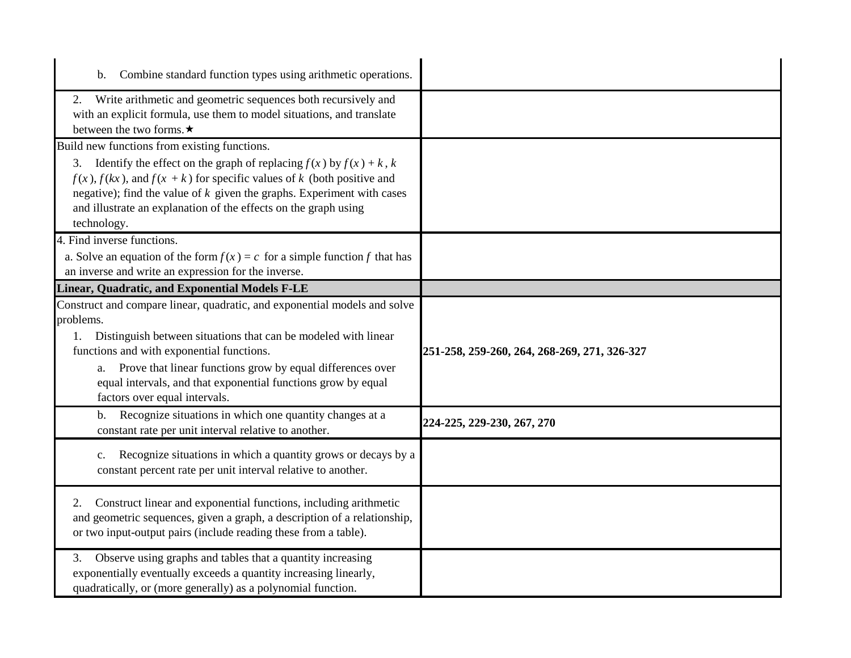| Combine standard function types using arithmetic operations.                                                                                                                                                                                                                                                                |                                              |
|-----------------------------------------------------------------------------------------------------------------------------------------------------------------------------------------------------------------------------------------------------------------------------------------------------------------------------|----------------------------------------------|
| Write arithmetic and geometric sequences both recursively and<br>2.<br>with an explicit formula, use them to model situations, and translate<br>between the two forms. $\star$                                                                                                                                              |                                              |
| Build new functions from existing functions.                                                                                                                                                                                                                                                                                |                                              |
| Identify the effect on the graph of replacing $f(x)$ by $f(x) + k$ , k<br>3.<br>$f(x)$ , $f(kx)$ , and $f(x + k)$ for specific values of k (both positive and<br>negative); find the value of $k$ given the graphs. Experiment with cases<br>and illustrate an explanation of the effects on the graph using<br>technology. |                                              |
| 4. Find inverse functions.                                                                                                                                                                                                                                                                                                  |                                              |
| a. Solve an equation of the form $f(x) = c$ for a simple function f that has<br>an inverse and write an expression for the inverse.                                                                                                                                                                                         |                                              |
| Linear, Quadratic, and Exponential Models F-LE                                                                                                                                                                                                                                                                              |                                              |
| Construct and compare linear, quadratic, and exponential models and solve<br>problems.                                                                                                                                                                                                                                      |                                              |
| Distinguish between situations that can be modeled with linear<br>1.<br>functions and with exponential functions.<br>Prove that linear functions grow by equal differences over<br>a.<br>equal intervals, and that exponential functions grow by equal                                                                      | 251-258, 259-260, 264, 268-269, 271, 326-327 |
| factors over equal intervals.<br>Recognize situations in which one quantity changes at a<br>$\mathbf b$ .<br>constant rate per unit interval relative to another.                                                                                                                                                           | 224-225, 229-230, 267, 270                   |
| Recognize situations in which a quantity grows or decays by a<br>c.<br>constant percent rate per unit interval relative to another.                                                                                                                                                                                         |                                              |
| Construct linear and exponential functions, including arithmetic<br>2.<br>and geometric sequences, given a graph, a description of a relationship,<br>or two input-output pairs (include reading these from a table).                                                                                                       |                                              |
| Observe using graphs and tables that a quantity increasing<br>3.<br>exponentially eventually exceeds a quantity increasing linearly,<br>quadratically, or (more generally) as a polynomial function.                                                                                                                        |                                              |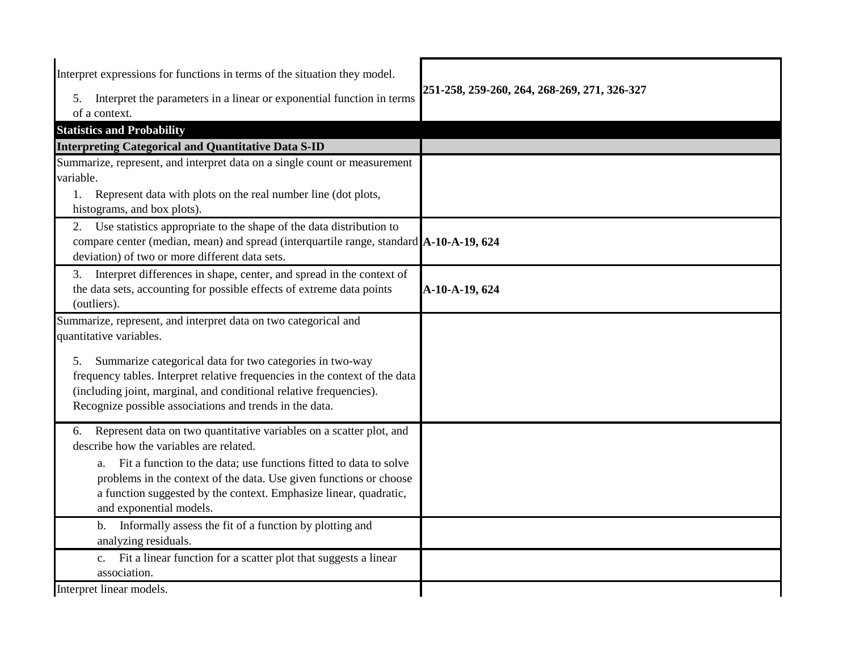| Interpret expressions for functions in terms of the situation they model.                                                                                                                                                                                                      |                                              |
|--------------------------------------------------------------------------------------------------------------------------------------------------------------------------------------------------------------------------------------------------------------------------------|----------------------------------------------|
| Interpret the parameters in a linear or exponential function in terms<br>5.                                                                                                                                                                                                    | 251-258, 259-260, 264, 268-269, 271, 326-327 |
| of a context.                                                                                                                                                                                                                                                                  |                                              |
| <b>Statistics and Probability</b>                                                                                                                                                                                                                                              |                                              |
| <b>Interpreting Categorical and Quantitative Data S-ID</b>                                                                                                                                                                                                                     |                                              |
| Summarize, represent, and interpret data on a single count or measurement                                                                                                                                                                                                      |                                              |
| variable.                                                                                                                                                                                                                                                                      |                                              |
| Represent data with plots on the real number line (dot plots,<br>histograms, and box plots).                                                                                                                                                                                   |                                              |
| Use statistics appropriate to the shape of the data distribution to<br>2.<br>compare center (median, mean) and spread (interquartile range, standard A-10-A-19, 624<br>deviation) of two or more different data sets.                                                          |                                              |
| Interpret differences in shape, center, and spread in the context of<br>3.<br>the data sets, accounting for possible effects of extreme data points<br>(outliers).                                                                                                             | A-10-A-19, 624                               |
| Summarize, represent, and interpret data on two categorical and<br>quantitative variables.                                                                                                                                                                                     |                                              |
| Summarize categorical data for two categories in two-way<br>5.<br>frequency tables. Interpret relative frequencies in the context of the data<br>(including joint, marginal, and conditional relative frequencies).<br>Recognize possible associations and trends in the data. |                                              |
| Represent data on two quantitative variables on a scatter plot, and<br>6.<br>describe how the variables are related.                                                                                                                                                           |                                              |
| Fit a function to the data; use functions fitted to data to solve<br>a.<br>problems in the context of the data. Use given functions or choose<br>a function suggested by the context. Emphasize linear, quadratic,<br>and exponential models.                                  |                                              |
| Informally assess the fit of a function by plotting and<br>b.<br>analyzing residuals.                                                                                                                                                                                          |                                              |
| Fit a linear function for a scatter plot that suggests a linear<br>$c_{\cdot}$<br>association.                                                                                                                                                                                 |                                              |